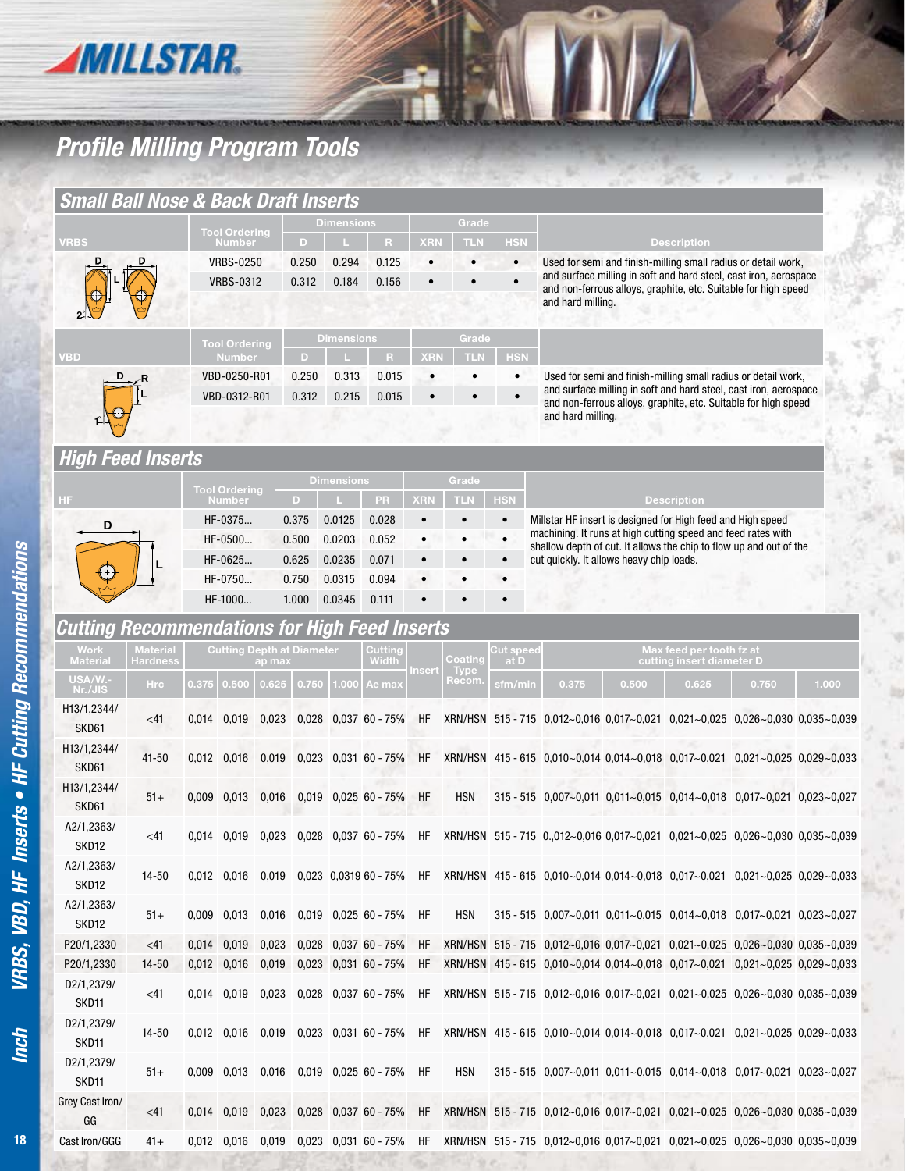

## *Profile Milling Program Tools*

| <b>Small Ball Nose &amp; Back Draft Inserts</b>      |                             |                              |                                                    |        |                        |                   |                                           |                          |                                                    |                         |                                                                                                                                    |       |                                                       |       |       |  |
|------------------------------------------------------|-----------------------------|------------------------------|----------------------------------------------------|--------|------------------------|-------------------|-------------------------------------------|--------------------------|----------------------------------------------------|-------------------------|------------------------------------------------------------------------------------------------------------------------------------|-------|-------------------------------------------------------|-------|-------|--|
| <b>VRBS</b>                                          |                             |                              | <b>Tool Ordering</b><br>Number<br><b>VRBS-0250</b> |        | <b>Dimensions</b><br>D |                   | R                                         |                          | Grade<br><b>TLN</b>                                | <b>HSN</b>              |                                                                                                                                    |       |                                                       |       |       |  |
|                                                      |                             |                              |                                                    |        |                        |                   |                                           | <b>XRN</b>               |                                                    |                         | <b>Description</b><br>Used for semi and finish-milling small radius or detail work,                                                |       |                                                       |       |       |  |
|                                                      |                             |                              |                                                    |        | 0.250                  | 0.294             | 0.125                                     |                          |                                                    | $\bullet$<br>$\bullet$  |                                                                                                                                    |       |                                                       |       |       |  |
|                                                      |                             | <b>VRBS-0312</b>             |                                                    |        | 0.312                  | 0.184             | 0.156                                     |                          |                                                    |                         | and surface milling in soft and hard steel, cast iron, aerospace<br>and non-ferrous alloys, graphite, etc. Suitable for high speed |       |                                                       |       |       |  |
|                                                      |                             |                              |                                                    |        |                        |                   |                                           |                          |                                                    |                         | and hard milling.                                                                                                                  |       |                                                       |       |       |  |
|                                                      |                             |                              |                                                    |        |                        | <b>Dimensions</b> |                                           |                          | Grade                                              |                         |                                                                                                                                    |       |                                                       |       |       |  |
| <b>VBD</b>                                           |                             |                              | <b>Tool Ordering</b><br><b>Number</b>              |        | D                      |                   | R                                         | <b>XRN</b>               | <b>TLN</b>                                         | <b>HSN</b>              |                                                                                                                                    |       |                                                       |       |       |  |
|                                                      |                             |                              |                                                    |        | 0.250                  | 0.313             | 0.015                                     |                          |                                                    | $\bullet$               |                                                                                                                                    |       |                                                       |       |       |  |
|                                                      |                             | VBD-0250-R01<br>VBD-0312-R01 |                                                    |        | 0.312                  | 0.215             |                                           |                          |                                                    | $\bullet$               | Used for semi and finish-milling small radius or detail work,<br>and surface milling in soft and hard steel, cast iron, aerospace  |       |                                                       |       |       |  |
|                                                      |                             |                              |                                                    |        |                        |                   | 0.015                                     |                          |                                                    |                         | and non-ferrous alloys, graphite, etc. Suitable for high speed<br>and hard milling.                                                |       |                                                       |       |       |  |
|                                                      |                             |                              |                                                    |        |                        |                   |                                           |                          |                                                    |                         |                                                                                                                                    |       |                                                       |       |       |  |
|                                                      |                             |                              |                                                    |        |                        |                   |                                           |                          |                                                    |                         |                                                                                                                                    |       |                                                       |       |       |  |
| <b>High Feed Inserts</b>                             |                             |                              |                                                    |        |                        |                   |                                           |                          | Grade                                              |                         |                                                                                                                                    |       |                                                       |       |       |  |
|                                                      |                             |                              | <b>Tool Ordering</b><br>Number                     |        | <b>Dimensions</b>      |                   |                                           | <b>XRN</b><br><b>TLN</b> |                                                    |                         |                                                                                                                                    |       |                                                       |       |       |  |
| HF                                                   |                             |                              | HF-0375                                            |        | D<br>0.375             | 0.0125            | PR<br>0.028                               | $\bullet$                |                                                    | <b>HSN</b><br>$\bullet$ | Millstar HF insert is designed for High feed and High speed                                                                        |       | <b>Description</b>                                    |       |       |  |
| D                                                    |                             |                              |                                                    |        |                        |                   |                                           |                          |                                                    | $\bullet$               | machining. It runs at high cutting speed and feed rates with                                                                       |       |                                                       |       |       |  |
|                                                      |                             |                              | HF-0500                                            |        | 0.500                  | 0.0203            | 0.052                                     | $\bullet$                |                                                    |                         | shallow depth of cut. It allows the chip to flow up and out of the                                                                 |       |                                                       |       |       |  |
|                                                      |                             |                              | HF-0625                                            |        | 0.625                  | 0.0235            | 0.071                                     |                          |                                                    |                         | cut quickly. It allows heavy chip loads.                                                                                           |       |                                                       |       |       |  |
|                                                      |                             |                              | HF-0750                                            |        | 0.750                  | 0.0315            | 0.094                                     |                          |                                                    |                         |                                                                                                                                    |       |                                                       |       |       |  |
|                                                      |                             |                              | HF-1000                                            |        | 1.000                  | 0.0345            | 0.111                                     |                          |                                                    |                         |                                                                                                                                    |       |                                                       |       |       |  |
| <b>Cutting Recommendations for High Feed Inserts</b> |                             |                              |                                                    |        |                        |                   |                                           |                          |                                                    |                         |                                                                                                                                    |       |                                                       |       |       |  |
| Work<br>Material                                     | <b>Material</b><br>Hardness |                              | <b>Cutting Depth at Diameter</b>                   | ap max |                        |                   | Cutting<br>Width                          | nsert                    | <b>Cut speed</b><br>Coating<br>at D<br><b>Type</b> |                         |                                                                                                                                    |       | Max feed per tooth fz at<br>cutting insert diameter D |       |       |  |
| USA/W .-<br>Nr./JIS                                  | <b>Hrc</b>                  | 0.375                        | 0.500                                              | 0.625  | 0.750                  | .000              | Ae max                                    |                          | Recom.                                             | sfm/min                 | 0.375                                                                                                                              | 0.500 | 0.625                                                 | 0.750 | 1.000 |  |
| H13/1,2344/                                          | $<$ 41                      | 0,014                        | 0,019                                              | 0,023  |                        |                   | $0.028$ 0.037 60 - 75%                    | HF                       |                                                    |                         | XRN/HSN 515-715 0,012~0,016 0,017~0,021 0,021~0,025 0,026~0,030 0,035~0,039                                                        |       |                                                       |       |       |  |
| SKD61                                                |                             |                              |                                                    |        |                        |                   |                                           |                          |                                                    |                         |                                                                                                                                    |       |                                                       |       |       |  |
| H13/1,2344/                                          | 41-50                       |                              | 0,012 0,016                                        | 0,019  |                        |                   | 0,023 0,031 60 - 75%                      | HF                       |                                                    |                         | XRN/HSN 415-615 0,010~0,014 0,014~0,018 0,017~0,021 0,021~0,025 0,029~0,033                                                        |       |                                                       |       |       |  |
| SKD61                                                |                             |                              |                                                    |        |                        |                   |                                           |                          |                                                    |                         |                                                                                                                                    |       |                                                       |       |       |  |
| H13/1,2344/                                          | $51+$                       |                              | $0,009$ $0,013$                                    | 0,016  |                        |                   | $0,019$ $0,025$ 60 - 75%                  | HF                       | <b>HSN</b>                                         |                         | 315 - 515 0,007~0,011 0,011~0,015 0,014~0,018 0,017~0,021 0,023~0,027                                                              |       |                                                       |       |       |  |
| SKD61                                                |                             |                              |                                                    |        |                        |                   |                                           |                          |                                                    |                         |                                                                                                                                    |       |                                                       |       |       |  |
| A2/1,2363/                                           | $<$ 41                      |                              | 0,014 0,019                                        | 0,023  |                        |                   |                                           |                          |                                                    |                         | $0.028$ 0.037 60 - 75% HF XRN/HSN 515 - 715 0.012~0.016 0.017~0.021 0.021~0.025 0.026~0.030 0.035~0.039                            |       |                                                       |       |       |  |
| SKD12                                                |                             |                              |                                                    |        |                        |                   |                                           |                          |                                                    |                         |                                                                                                                                    |       |                                                       |       |       |  |
| A2/1,2363/                                           | 14-50                       |                              |                                                    |        |                        |                   |                                           |                          |                                                    |                         | 0,012 0,016 0,019 0,023 0,0319 60 - 75% HF XRN/HSN 415 - 615 0,010~0,014 0,014~0,018 0,017~0,021 0,021~0,025 0,029~0,033           |       |                                                       |       |       |  |
| SKD12                                                |                             |                              |                                                    |        |                        |                   |                                           |                          |                                                    |                         |                                                                                                                                    |       |                                                       |       |       |  |
| A2/1,2363/                                           | $51+$                       |                              | 0,009 0,013 0,016                                  |        |                        |                   | 0,019 0,025 60 - 75%                      | HF                       | <b>HSN</b>                                         |                         | 315 - 515 0,007~0,011 0,011~0,015 0,014~0,018 0,017~0,021 0,023~0,027                                                              |       |                                                       |       |       |  |
| SKD12                                                |                             |                              |                                                    |        |                        |                   |                                           |                          |                                                    |                         |                                                                                                                                    |       |                                                       |       |       |  |
| P20/1,2330                                           | $<$ 41                      |                              | 0,014 0,019                                        | 0,023  |                        |                   | $0.028$ 0.037 60 - 75%                    | HF                       |                                                    |                         | XRN/HSN 515-715 0.012~0.016 0.017~0.021 0.021~0.025 0.026~0.030 0.035~0.039                                                        |       |                                                       |       |       |  |
| P20/1,2330                                           | $14 - 50$                   |                              | $0,012$ $0,016$ $0,019$                            |        |                        |                   | $0,023$ 0,031 60 - 75%                    | HF                       |                                                    |                         | XRN/HSN 415 - 615 0,010~0,014 0,014~0,018 0,017~0,021 0,021~0,025 0,029~0,033                                                      |       |                                                       |       |       |  |
| D2/1,2379/                                           |                             |                              |                                                    |        |                        |                   |                                           |                          |                                                    |                         |                                                                                                                                    |       |                                                       |       |       |  |
| SKD11                                                | <41                         |                              | 0,014 0,019 0,023                                  |        |                        |                   | $0.028$ $0.037$ $60 - 75\%$               | HF                       |                                                    |                         | XRN/HSN 515-715 0,012~0,016 0,017~0,021 0,021~0,025 0,026~0,030 0,035~0,039                                                        |       |                                                       |       |       |  |
| D2/1,2379/                                           |                             |                              |                                                    |        |                        |                   |                                           |                          |                                                    |                         |                                                                                                                                    |       |                                                       |       |       |  |
| SKD11                                                | $14 - 50$                   |                              |                                                    |        |                        |                   |                                           |                          |                                                    |                         | 0,012 0,016 0,019 0,023 0,031 60-75% HF XRN/HSN 415-615 0,010~0,014 0,014~0,018 0,017~0,021 0,021~0,025 0,029~0,033                |       |                                                       |       |       |  |
| D2/1,2379/                                           |                             |                              |                                                    |        |                        |                   |                                           |                          |                                                    |                         |                                                                                                                                    |       |                                                       |       |       |  |
| SKD11                                                | $51+$                       |                              |                                                    |        |                        |                   | 0,009 0,013 0,016 0,019 0,025 60 - 75% HF |                          | <b>HSN</b>                                         |                         | 315 - 515 0,007~0,011 0,011~0,015 0,014~0,018 0,017~0,021 0,023~0,027                                                              |       |                                                       |       |       |  |
| Grey Cast Iron/                                      |                             |                              |                                                    |        |                        |                   |                                           |                          |                                                    |                         |                                                                                                                                    |       |                                                       |       |       |  |
| GG                                                   | $<$ 41                      |                              |                                                    |        |                        |                   | 0,014 0,019 0,023 0,028 0,037 60 - 75%    | HF                       |                                                    |                         | XRN/HSN 515-715 0,012~0,016 0,017~0,021 0,021~0,025 0,026~0,030 0,035~0,039                                                        |       |                                                       |       |       |  |
| Cast Iron/GGG                                        | $41+$                       |                              |                                                    |        |                        |                   |                                           |                          |                                                    |                         | 0,012 0,016 0,019 0,023 0,031 60-75% HF XRN/HSN 515-715 0,012~0,016 0,017~0,021 0,021~0,025 0,026~0,030 0,035~0,039                |       |                                                       |       |       |  |
|                                                      |                             |                              |                                                    |        |                        |                   |                                           |                          |                                                    |                         |                                                                                                                                    |       |                                                       |       |       |  |